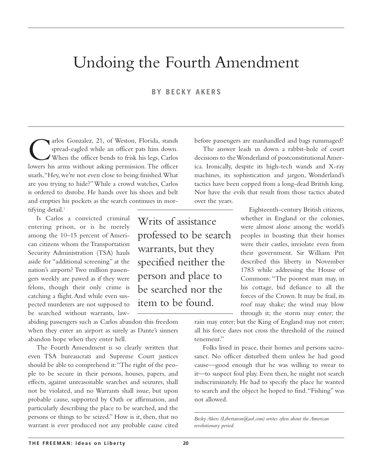# Undoing the Fourth Amendment

# **BY BECKY AKERS**

The Sonzalez, 21, of Weston, Florida, stands spread-eagled while an officer pats him down.<br>When the officer bends to frisk his legs, Carlos<br>lowers his arms without asking permission. The officer spread-eagled while an officer pats him down. When the officer bends to frisk his legs, Carlos lowers his arms without asking permission. The officer snarls,"Hey, we're not even close to being finished.What are you trying to hide?"While a crowd watches, Carlos is ordered to disrobe. He hands over his shoes and belt and empties his pockets as the search continues in mor-

tifying detail.<sup>1</sup>

Is Carlos a convicted criminal entering prison, or is he merely among the 10–15 percent of American citizens whom the Transportation Security Administration (TSA) hauls aside for "additional screening" at the nation's airports? Two million passengers weekly are pawed as if they were felons, though their only crime is catching a flight.And while even suspected murderers are not supposed to be searched without warrants, law-

abiding passengers such as Carlos abandon this freedom when they enter an airport as surely as Dante's sinners abandon hope when they enter hell.

The Fourth Amendment is so clearly written that even TSA bureaucrats and Supreme Court justices should be able to comprehend it:"The right of the people to be secure in their persons, houses, papers, and effects, against unreasonable searches and seizures, shall not be violated, and no Warrants shall issue, but upon probable cause, supported by Oath or affirmation, and particularly describing the place to be searched, and the persons or things to be seized." How is it, then, that no warrant is ever produced nor any probable cause cited

Writs of assistance professed to be search warrants, but they specified neither the person and place to be searched nor the item to be found.

before passengers are manhandled and bags rummaged?

The answer leads us down a rabbit-hole of court decisions to the Wonderland of postconstitutional America. Ironically, despite its high-tech wands and X-ray machines, its sophistication and jargon, Wonderland's tactics have been copped from a long-dead British king. Nor have the evils that result from those tactics abated over the years.

> Eighteenth-century British citizens, whether in England or the colonies, were almost alone among the world's peoples in boasting that their homes were their castles, inviolate even from their government. Sir William Pitt described this liberty in November 1783 while addressing the House of Commons: "The poorest man may, in his cottage, bid defiance to all the forces of the Crown. It may be frail, its roof may shake; the wind may blow through it; the storm may enter; the

rain may enter; but the King of England may not enter; all his force dares not cross the threshold of the ruined tenement."

Folks lived in peace, their homes and persons sacrosanct. No officer disturbed them unless he had good cause—good enough that he was willing to swear to it—to suspect foul play. Even then, he might not search indiscriminately. He had to specify the place he wanted to search and the object he hoped to find."Fishing" was not allowed.

*Becky Akers (Libertatem@aol.com) writes often about the American revolutionary period.*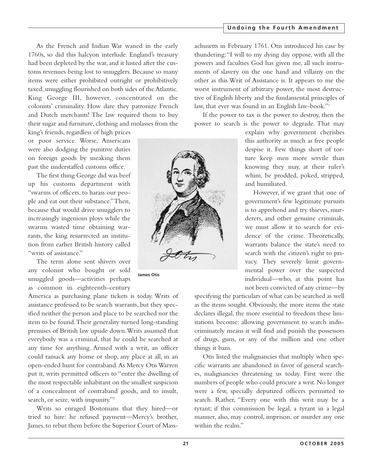### **Undoing the Fourth Amendment**

As the French and Indian War waned in the early 1760s, so did this halcyon interlude. England's treasury had been depleted by the war, and it lusted after the customs revenues being lost to smugglers. Because so many items were either prohibited outright or prohibitively taxed, smuggling flourished on both sides of the Atlantic. King George III, however, concentrated on the colonists' criminality. How dare they patronize French and Dutch merchants! The law required them to buy their sugar and furniture, clothing and molasses from the

king's friends, regardless of high prices or poor service. Worse, Americans were also dodging the punitive duties on foreign goods by sneaking them past the understaffed customs office.

The first thing George did was beef up his customs department with "swarms of officers, to harass our people and eat out their substance."Then, because that would drive smugglers to increasingly ingenious ploys while the swarms wasted time obtaining warrants, the king resurrected an institution from earlier British history called "writs of assistance."

The term alone sent shivers over any colonist who bought or sold smuggled goods—activities perhaps as common in eighteenth-century

America as purchasing plane tickets is today. Writs of assistance professed to be search warrants, but they specified neither the person and place to be searched nor the item to be found.Their generality turned long-standing premises of British law upside down.Writs assumed that everybody was a criminal, that he could be searched at any time for anything. Armed with a writ, an officer could ransack any home or shop, any place at all, in an open-ended hunt for contraband.As Mercy Otis Warren put it, writs permitted officers to "enter the dwelling of the most respectable inhabitant on the smallest suspicion of a concealment of contraband goods, and to insult, search, or seize, with impunity."2

Writs so enraged Bostonians that they hired—or tried to hire: he refused payment—Mercy's brother, James, to rebut them before the Superior Court of Mass-

**James Otis**

achusetts in February 1761. Otis introduced his case by thundering:"I will to my dying day oppose, with all the powers and faculties God has given me, all such instruments of slavery on the one hand and villainy on the other as this Writ of Assistance is. It appears to me the worst instrument of arbitrary power, the most destructive of English liberty and the fundamental principles of law, that ever was found in an English law-book."3

If the power to tax is the power to destroy, then the power to search is the power to degrade. That may

> explain why government cherishes this authority as much as free people despise it. Few things short of torture keep men more servile than knowing they may, at their ruler's whim, be prodded, poked, stripped, and humiliated.

> However, if we grant that one of government's few legitimate pursuits is to apprehend and try thieves, murderers, and other genuine criminals, we must allow it to search for evidence of the crime. Theoretically, warrants balance the state's need to search with the citizen's right to privacy. They severely limit governmental power over the suspected individual—who, at this point has not been convicted of any crime—by

specifying the particulars of what can be searched as well as the items sought. Obviously, the more items the state declares illegal, the more essential to freedom these limitations become: allowing government to search indiscriminately means it will find and punish the possessors of drugs, guns, or any of the million and one other things it bans.

Otis listed the malignancies that multiply when specific warrants are abandoned in favor of general searches, malignancies threatening us today. First were the numbers of people who could procure a writ. No longer were a few, specially deputized officers permitted to search. Rather, "Every one with this writ may be a tyrant; if this commission be legal, a tyrant in a legal manner, also, may control, imprison, or murder any one within the realm."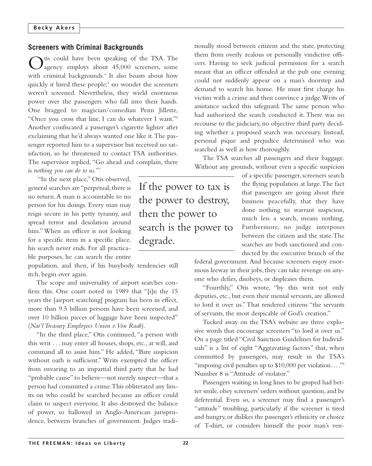# **Screeners with Criminal Backgrounds**

tis could have been speaking of the TSA. The  $J_{\text{agency}}$  employs about 45,000 screeners, some with criminal backgrounds.<sup>4</sup> It also boasts about how quickly it hired these people;<sup>5</sup> no wonder the screeners weren't screened. Nevertheless, they wield enormous power over the passengers who fall into their hands. One bragged to magician/comedian Penn Jillette, "Once you cross that line, I can do whatever I want."6 Another confiscated a passenger's cigarette lighter after exclaiming that he'd always wanted one like it.The passenger reported him to a supervisor but received no satisfaction, so he threatened to contact TSA authorities. The supervisor replied, "Go ahead and complain, there is *nothing you can do to us.*"7

"In the next place," Otis observed, general searches are "perpetual; there is no return.A man is accountable to no person for his doings. Every man may reign secure in his petty tyranny, and spread terror and desolation around him." When an officer is not looking for a specific item in a specific place, his search never ends. For all practicable purposes, he can search the entire

population, and then, if his busybody tendencies still itch, begin over again.

The scope and universality of airport searches confirm this. One court noted in 1989 that "[i]n the 15 years the [airport searching] program has been in effect, more than 9.5 billion persons have been screened, and over 10 billion pieces of luggage have been inspected" (*Nat'l Treasury Employees Union v.Von Raab*).

"In the third place," Otis continued, "a person with this writ . . . may enter all houses, shops, etc., at will, and command all to assist him." He added, "Bare suspicion without oath is sufficient." Writs exempted the officer from swearing to an impartial third party that he had "probable cause" to believe—not merely suspect—that a person had committed a crime.This obliterated any limits on who could be searched because an officer could claim to suspect everyone. It also destroyed the balance of power, so hallowed in Anglo-American jurisprudence, between branches of government. Judges tradi-

If the power to tax is the power to destroy, then the power to search is the power to degrade.

tionally stood between citizens and the state, protecting them from overly zealous or personally vindictive officers. Having to seek judicial permission for a search meant that an officer offended at the pub one evening could not suddenly appear on a man's doorstep and demand to search his home. He must first charge his victim with a crime and then convince a judge.Writs of assistance sacked this safeguard. The same person who had authorized the search conducted it. There was no recourse to the judiciary, no objective third party deciding whether a proposed search was necessary. Instead, personal pique and prejudice determined who was searched as well as how thoroughly.

The TSA searches all passengers and their baggage. Without any grounds, without even a specific suspicion

> of a specific passenger, screeners search the flying population at large.The fact that passengers are going about their business peacefully, that they have done nothing to warrant suspicion, much less a search, means nothing. Furthermore, no judge interposes between the citizen and the state.The searches are both sanctioned and conducted by the executive branch of the

federal government. And because screeners enjoy enormous leeway in their jobs, they can take revenge on anyone who defies, disobeys, or displeases them.

"Fourthly," Otis wrote, "by this writ not only deputies, etc., but even their menial servants, are allowed to lord it over us."That rendered citizens "the servants of servants, the most despicable of God's creation."

Tucked away on the TSA's website are three explosive words that encourage screeners "to lord it over us." On a page titled "Civil Sanction Guidelines for Individuals" is a list of eight "Aggravating factors" that, when committed by passengers, may result in the TSA's "imposing civil penalties up to  $$10,000$  per violation..."<sup>8</sup> Number 8 is "Attitude of violator."

Passengers waiting in long lines to be groped had better smile, obey screeners' orders without question, and be deferential. Even so, a screener may find a passenger's "attitude" troubling, particularly if the screener is tired and hungry, or dislikes the passenger's ethnicity or choice of T-shirt, or considers himself the poor man's ven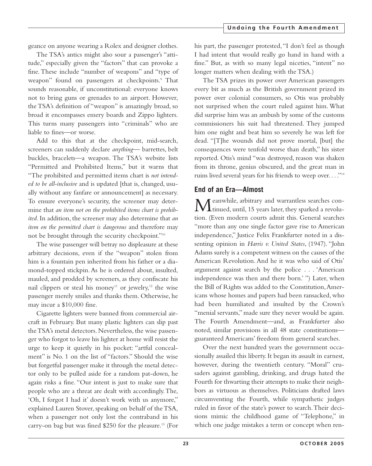geance on anyone wearing a Rolex and designer clothes.

The TSA's antics might also sour a passenger's "attitude," especially given the "factors" that can provoke a fine. These include "number of weapons" and "type of weapon" found on passengers at checkpoints.<sup>9</sup> That sounds reasonable, if unconstitutional: everyone knows not to bring guns or grenades to an airport. However, the TSA's definition of "weapon" is amazingly broad, so broad it encompasses emery boards and Zippo lighters. This turns many passengers into "criminals" who are liable to fines—or worse.

Add to this that at the checkpoint, mid-search, screeners can suddenly declare *anything*— barrettes, belt buckles, bracelets—a weapon. The TSA's website lists "Permitted and Prohibited Items," but it warns that "The prohibited and permitted items chart is *not intended to be all-inclusive* and is updated [that is, changed, usually without any fanfare or announcement] as necessary. To ensure everyone's security, the screener may determine that *an item not on the prohibited items chart is prohibited*. In addition, the screener may also determine that *an item on the permitted chart is dangerous* and therefore may not be brought through the security checkpoint."10

The wise passenger will betray no displeasure at these arbitrary decisions, even if the "weapon" stolen from him is a fountain pen inherited from his father or a diamond-topped stickpin. As he is ordered about, insulted, mauled, and prodded by screeners, as they confiscate his nail clippers or steal his money<sup>11</sup> or jewelry,<sup>12</sup> the wise passenger merely smiles and thanks them. Otherwise, he may incur a \$10,000 fine.

Cigarette lighters were banned from commercial aircraft in February. But many plastic lighters can slip past the TSA's metal detectors. Nevertheless, the wise passenger who forgot to leave his lighter at home will resist the urge to keep it quietly in his pocket: "artful concealment" is No. 1 on the list of "factors." Should the wise but forgetful passenger make it through the metal detector only to be pulled aside for a random pat-down, he again risks a fine. "Our intent is just to make sure that people who are a threat are dealt with accordingly.The, 'Oh, I forgot I had it' doesn't work with us anymore," explained Lauren Stover, speaking on behalf of the TSA, when a passenger not only lost the contraband in his carry-on bag but was fined \$250 for the pleasure.13 (For

his part, the passenger protested, "I don't feel as though I had intent that would really go hand in hand with a fine." But, as with so many legal niceties, "intent" no longer matters when dealing with the TSA.)

The TSA prizes its power over American passengers every bit as much as the British government prized its power over colonial consumers, so Otis was probably not surprised when the court ruled against him. What did surprise him was an ambush by some of the customs commissioners his suit had threatened. They jumped him one night and beat him so severely he was left for dead. "[T]he wounds did not prove mortal, [but] the consequences were tenfold worse than death," his sister reported. Otis's mind "was destroyed, reason was shaken from its throne, genius obscured, and the great man in ruins lived several years for his friends to weep over...."<sup>14</sup>

# **End of an Era—Almost**

Meanwhile, arbitrary and warrantless searches con-tinued, until, 15 years later, they sparked a revolution. (Even modern courts admit this. General searches "more than any one single factor gave rise to American independence," Justice Felix Frankfurter noted in a dissenting opinion in *Harris v. United States*, (1947). "John Adams surely is a competent witness on the causes of the American Revolution. And he it was who said of Otis' argument against search by the police . . . 'American independence was then and there born.' ") Later, when the Bill of Rights was added to the Constitution,Americans whose homes and papers had been ransacked, who had been humiliated and insulted by the Crown's "menial servants," made sure they never would be again. The Fourth Amendment—and, as Frankfurter also noted, similar provisions in all 48 state constitutions guaranteed Americans' freedom from general searches.

Over the next hundred years the government occasionally assailed this liberty. It began its assault in earnest, however, during the twentieth century. "Moral" crusaders against gambling, drinking, and drugs hated the Fourth for thwarting their attempts to make their neighbors as virtuous as themselves. Politicians drafted laws circumventing the Fourth, while sympathetic judges ruled in favor of the state's power to search.Their decisions mimic the childhood game of "Telephone," in which one judge mistakes a term or concept when ren-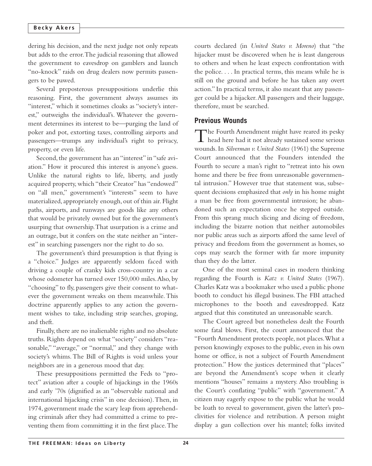#### **Becky Akers**

dering his decision, and the next judge not only repeats but adds to the error.The judicial reasoning that allowed the government to eavesdrop on gamblers and launch "no-knock" raids on drug dealers now permits passengers to be pawed.

Several preposterous presuppositions underlie this reasoning. First, the government always assumes its "interest," which it sometimes cloaks as "society's interest," outweighs the individual's. Whatever the government determines its interest to be—purging the land of poker and pot, extorting taxes, controlling airports and passengers—trumps any individual's right to privacy, property, or even life.

Second, the government has an "interest" in "safe aviation." How it procured this interest is anyone's guess. Unlike the natural rights to life, liberty, and justly acquired property, which "their Creator" has "endowed" on "all men," government's "interests" seem to have materialized, appropriately enough, out of thin air.Flight paths, airports, and runways are goods like any others that would be privately owned but for the government's usurping that ownership.That usurpation is a crime and an outrage, but it confers on the state neither an "interest" in searching passengers nor the right to do so.

The government's third presumption is that flying is a "choice." Judges are apparently seldom faced with driving a couple of cranky kids cross-country in a car whose odometer has turned over 150,000 miles.Also, by "choosing" to fly, passengers give their consent to whatever the government wreaks on them meanwhile. This doctrine apparently applies to any action the government wishes to take, including strip searches, groping, and theft.

Finally, there are no inalienable rights and no absolute truths. Rights depend on what "society" considers "reasonable," "average," or "normal," and they change with society's whims. The Bill of Rights is void unless your neighbors are in a generous mood that day.

These presuppositions permitted the Feds to "protect" aviation after a couple of hijackings in the 1960s and early '70s (dignified as an "observable national and international hijacking crisis" in one decision).Then, in 1974, government made the scary leap from apprehending criminals after they had committed a crime to preventing them from committing it in the first place.The courts declared (in *United States v. Moreno*) that "the hijacker must be discovered when he is least dangerous to others and when he least expects confrontation with the police. . . . In practical terms, this means while he is still on the ground and before he has taken any overt action." In practical terms, it also meant that any passenger could be a hijacker.All passengers and their luggage, therefore, must be searched.

### **Previous Wounds**

The Fourth Amendment might have reared its pesky  $\perp$  head here had it not already sustained some serious wounds. In *Silverman v. United States* (1961) the Supreme Court announced that the Founders intended the Fourth to secure a man's right to "retreat into his own home and there be free from unreasonable governmental intrusion." However true that statement was, subsequent decisions emphasized that *only* in his home might a man be free from governmental intrusion; he abandoned such an expectation once he stepped outside. From this sprang much slicing and dicing of freedom, including the bizarre notion that neither automobiles nor public areas such as airports afford the same level of privacy and freedom from the government as homes, so cops may search the former with far more impunity than they do the latter.

One of the most seminal cases in modern thinking regarding the Fourth is *Katz v. United States* (1967). Charles Katz was a bookmaker who used a public phone booth to conduct his illegal business.The FBI attached microphones to the booth and eavesdropped. Katz argued that this constituted an unreasonable search.

The Court agreed but nonetheless dealt the Fourth some fatal blows. First, the court announced that the "Fourth Amendment protects people, not places.What a person knowingly exposes to the public, even in his own home or office, is not a subject of Fourth Amendment protection." How the justices determined that "places" are beyond the Amendment's scope when it clearly mentions "houses" remains a mystery. Also troubling is the Court's conflating "public" with "government." A citizen may eagerly expose to the public what he would be loath to reveal to government, given the latter's proclivities for violence and retribution. A person might display a gun collection over his mantel; folks invited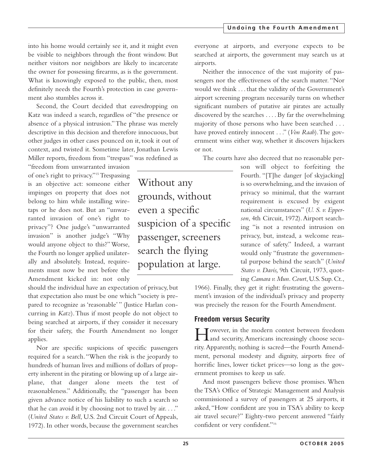into his home would certainly see it, and it might even be visible to neighbors through the front window. But neither visitors nor neighbors are likely to incarcerate the owner for possessing firearms, as is the government. What is knowingly exposed to the public, then, most definitely needs the Fourth's protection in case government also stumbles across it.

Second, the Court decided that eavesdropping on Katz was indeed a search, regardless of "the presence or absence of a physical intrusion."The phrase was merely descriptive in this decision and therefore innocuous, but other judges in other cases pounced on it, took it out of context, and twisted it. Sometime later, Jonathan Lewis Miller reports, freedom from "trespass" was redefined as

"freedom from unwarranted invasion of one's right to privacy."<sup>15</sup> Trespassing is an objective act: someone either impinges on property that does not belong to him while installing wiretaps or he does not. But an "unwarranted invasion of one's right to privacy"? One judge's "unwarranted invasion" is another judge's "Why would anyone object to this?"Worse, the Fourth no longer applied unilaterally and absolutely. Instead, requirements must now be met before the Amendment kicked in: not only

should the individual have an expectation of privacy, but that expectation also must be one which "society is prepared to recognize as 'reasonable' " (Justice Harlan concurring in *Katz*).Thus if most people do not object to being searched at airports, if they consider it necessary for their safety, the Fourth Amendment no longer applies.

Nor are specific suspicions of specific passengers required for a search."When the risk is the jeopardy to hundreds of human lives and millions of dollars of property inherent in the pirating or blowing up of a large airplane, that danger alone meets the test of reasonableness." Additionally, the "passenger has been given advance notice of his liability to such a search so that he can avoid it by choosing not to travel by air...." (*United States v. Bell*, U.S. 2nd Circuit Court of Appeals, 1972). In other words, because the government searches

Without any grounds, without even a specific suspicion of a specific passenger, screeners search the flying population at large.

everyone at airports, and everyone expects to be searched at airports, the government may search us at airports.

Neither the innocence of the vast majority of passengers nor the effectiveness of the search matter. "Nor would we think . . . that the validity of the Government's airport screening program necessarily turns on whether significant numbers of putative air pirates are actually discovered by the searches . . . . By far the overwhelming majority of those persons who have been searched . . . have proved entirely innocent . . ." (*Von Raab*).The government wins either way, whether it discovers hijackers or not.

The courts have also decreed that no reasonable per-

son will object to forfeiting the Fourth. "[T]he danger [of skyjacking] is so overwhelming, and the invasion of privacy so minimal, that the warrant requirement is excused by exigent national circumstances" (*U. S. v. Epperson*, 4th Circuit, 1972).Airport searching "is not a resented intrusion on privacy, but, instead, a welcome reassurance of safety." Indeed, a warrant would only "frustrate the governmental purpose behind the search" (*United States v. Davis,* 9th Circuit, 1973, quoting *Camara v. Mun. Court*, U.S. Sup. Ct.,

1966). Finally, they get it right: frustrating the government's invasion of the individual's privacy and property was precisely the reason for the Fourth Amendment.

# **Freedom versus Security**

However, in the modern contest between freedom and security, Americans increasingly choose security. Apparently, nothing is sacred—the Fourth Amendment, personal modesty and dignity, airports free of horrific lines, lower ticket prices—so long as the government promises to keep us safe.

And most passengers believe those promises. When the TSA's Office of Strategic Management and Analysis commissioned a survey of passengers at 25 airports, it asked, "How confident are you in TSA's ability to keep air travel secure?" Eighty-two percent answered "fairly confident or very confident."16